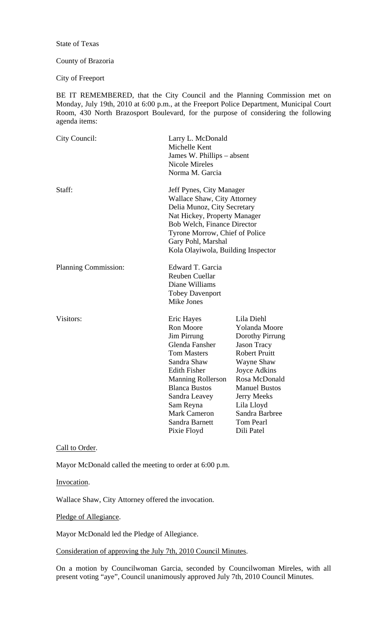State of Texas

### County of Brazoria

City of Freeport

BE IT REMEMBERED, that the City Council and the Planning Commission met on Monday, July 19th, 2010 at 6:00 p.m., at the Freeport Police Department, Municipal Court Room, 430 North Brazosport Boulevard, for the purpose of considering the following agenda items:

| City Council:        | Larry L. McDonald<br>Michelle Kent<br>James W. Phillips – absent<br>Nicole Mireles<br>Norma M. Garcia                                                                                                                                                          |                                                                                                                                                                                                                                               |
|----------------------|----------------------------------------------------------------------------------------------------------------------------------------------------------------------------------------------------------------------------------------------------------------|-----------------------------------------------------------------------------------------------------------------------------------------------------------------------------------------------------------------------------------------------|
| Staff:               | Jeff Pynes, City Manager<br>Wallace Shaw, City Attorney<br>Delia Munoz, City Secretary<br>Nat Hickey, Property Manager<br>Bob Welch, Finance Director<br>Tyrone Morrow, Chief of Police<br>Gary Pohl, Marshal<br>Kola Olayiwola, Building Inspector            |                                                                                                                                                                                                                                               |
| Planning Commission: | Edward T. Garcia<br><b>Reuben Cuellar</b><br>Diane Williams<br><b>Tobey Davenport</b><br>Mike Jones                                                                                                                                                            |                                                                                                                                                                                                                                               |
| Visitors:            | Eric Hayes<br>Ron Moore<br>Jim Pirrung<br>Glenda Fansher<br><b>Tom Masters</b><br>Sandra Shaw<br><b>Edith Fisher</b><br><b>Manning Rollerson</b><br><b>Blanca Bustos</b><br>Sandra Leavey<br>Sam Reyna<br><b>Mark Cameron</b><br>Sandra Barnett<br>Pixie Floyd | Lila Diehl<br>Yolanda Moore<br>Dorothy Pirrung<br><b>Jason Tracy</b><br><b>Robert Pruitt</b><br>Wayne Shaw<br>Joyce Adkins<br>Rosa McDonald<br><b>Manuel Bustos</b><br>Jerry Meeks<br>Lila Lloyd<br>Sandra Barbree<br>Tom Pearl<br>Dili Patel |

#### Call to Order.

Mayor McDonald called the meeting to order at 6:00 p.m.

Invocation.

Wallace Shaw, City Attorney offered the invocation.

Pledge of Allegiance.

Mayor McDonald led the Pledge of Allegiance.

Consideration of approving the July 7th, 2010 Council Minutes.

On a motion by Councilwoman Garcia, seconded by Councilwoman Mireles, with all present voting "aye", Council unanimously approved July 7th, 2010 Council Minutes.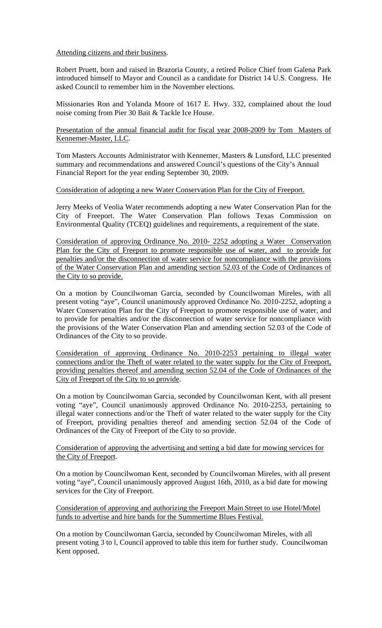Attending citizens and their business.

Robert Pruett, born and raised in Brazoria County, a retired Police Chief from Galena Park introduced himself to Mayor and Council as a candidate for District 14 U.S. Congress. He asked Council to remember him in the November elections.

Missionaries Ron and Yolanda Moore of 1617 E. Hwy. 332, complained about the loud noise coming from Pier 30 Bait & Tackle Ice House.

Presentation of the annual financial audit for fiscal year 2008-2009 by Tom Masters of Kennemer-Master, LLC.

Tom Masters Accounts Administrator with Kennemer, Masters & Lunsford, LLC presented summary and recommendations and answered Council's questions of the City's Annual Financial Report for the year ending September 30, 2009.

## Consideration of adopting a new Water Conservation Plan for the City of Freeport.

Jerry Meeks of Veolia Water recommends adopting a new Water Conservation Plan for the City of Freeport. The Water Conservation Plan follows Texas Commission on Environmental Quality (TCEQ) guidelines and requirements, a requirement of the state.

Consideration of approving Ordinance No. 2010- 2252 adopting a Water Conservation Plan for the City of Freeport to promote responsible use of water, and to provide for penalties and/or the disconnection of water service for noncompliance with the provisions of the Water Conservation Plan and amending section 52.03 of the Code of Ordinances of the City to so provide.

On a motion by Councilwoman Garcia, seconded by Councilwoman Mireles, with all present voting "aye", Council unanimously approved Ordinance No. 2010-2252, adopting a Water Conservation Plan for the City of Freeport to promote responsible use of water, and to provide for penalties and/or the disconnection of water service for noncompliance with the provisions of the Water Conservation Plan and amending section 52.03 of the Code of Ordinances of the City to so provide.

Consideration of approving Ordinance No. 2010-2253 pertaining to illegal water connections and/or the Theft of water related to the water supply for the City of Freeport, providing penalties thereof and amending section 52.04 of the Code of Ordinances of the City of Freeport of the City to so provide.

On a motion by Councilwoman Garcia, seconded by Councilwoman Kent, with all present voting "aye", Council unanimously approved Ordinance No. 2010-2253, pertaining to illegal water connections and/or the Theft of water related to the water supply for the City of Freeport, providing penalties thereof and amending section 52.04 of the Code of Ordinances of the City of Freeport of the City to so provide.

### Consideration of approving the advertising and setting a bid date for mowing services for the City of Freeport.

On a motion by Councilwoman Kent, seconded by Councilwoman Mireles, with all present voting "aye", Council unanimously approved August 16th, 2010, as a bid date for mowing services for the City of Freeport.

Consideration of approving and authorizing the Freeport Main Street to use Hotel/Motel funds to advertise and hire bands for the Summertime Blues Festival.

On a motion by Councilwoman Garcia, seconded by Councilwoman Mireles, with all present voting 3 to l, Council approved to table this item for further study. Councilwoman Kent opposed.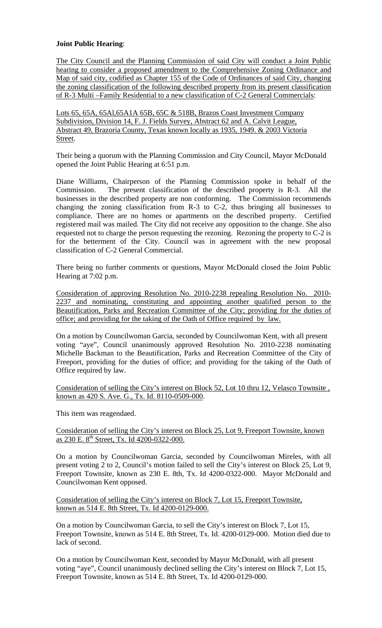# **Joint Public Hearing**:

The City Council and the Planning Commission of said City will conduct a Joint Public hearing to consider a proposed amendment to the Comprehensive Zoning Ordinance and Map of said city, codified as Chapter 155 of the Code of Ordinances of said City, changing the zoning classification of the following described property from its present classification of R-3 Multi –Family Residential to a new classification of C-2 General Commercials:

Lots 65, 65A, 65Al,65A1A 65B, 65C & 518B, Brazos Coast Investment Company Subdivision, Division 14, F. J. Fields Survey, Abstract 62 and A. Calvit League, Abstract 49, Brazoria County, Texas known locally as 1935, 1949. & 2003 Victoria Street.

Their being a quorum with the Planning Commission and City Council, Mayor McDonald opened the Joint Public Hearing at 6:51 p.m.

Diane Williams, Chairperson of the Planning Commission spoke in behalf of the Commission. The present classification of the described property is R-3. All the businesses in the described property are non conforming. The Commission recommends changing the zoning classification from R-3 to C-2, thus bringing all businesses to compliance. There are no homes or apartments on the described property. Certified registered mail was mailed. The City did not receive any opposition to the change. She also requested not to charge the person requesting the rezoning. Rezoning the property to C-2 is for the betterment of the City. Council was in agreement with the new proposal classification of C-2 General Commercial.

There being no further comments or questions, Mayor McDonald closed the Joint Public Hearing at 7:02 p.m.

Consideration of approving Resolution No. 2010-2238 repealing Resolution No. 2010- 2237 and nominating, constituting and appointing another qualified person to the Beautification, Parks and Recreation Committee of the City; providing for the duties of office; and providing for the taking of the Oath of Office required by law.

On a motion by Councilwoman Garcia, seconded by Councilwoman Kent, with all present voting "aye", Council unanimously approved Resolution No. 2010-2238 nominating Michelle Backman to the Beautification, Parks and Recreation Committee of the City of Freeport, providing for the duties of office; and providing for the taking of the Oath of Office required by law.

Consideration of selling the City's interest on Block 52, Lot 10 thru 12, Velasco Townsite , known as 420 S. Ave. G., Tx. Id. 8110-0509-000.

This item was reagendaed.

Consideration of selling the City's interest on Block 25, Lot 9, Freeport Townsite, known as 230 E. 8<sup>th</sup> Street, Tx. Id 4200-0322-000.

On a motion by Councilwoman Garcia, seconded by Councilwoman Mireles, with all present voting 2 to 2, Council's motion failed to sell the City's interest on Block 25, Lot 9, Freeport Townsite, known as 230 E. 8th, Tx. Id 4200-0322-000. Mayor McDonald and Councilwoman Kent opposed.

Consideration of selling the City's interest on Block 7, Lot 15, Freeport Townsite, known as 514 E. 8th Street, Tx. Id 4200-0129-000.

On a motion by Councilwoman Garcia, to sell the City's interest on Block 7, Lot 15, Freeport Townsite, known as 514 E. 8th Street, Tx. Id. 4200-0129-000. Motion died due to lack of second.

On a motion by Councilwoman Kent, seconded by Mayor McDonald, with all present voting "aye", Council unanimously declined selling the City's interest on Block 7, Lot 15, Freeport Townsite, known as 514 E. 8th Street, Tx. Id 4200-0129-000.